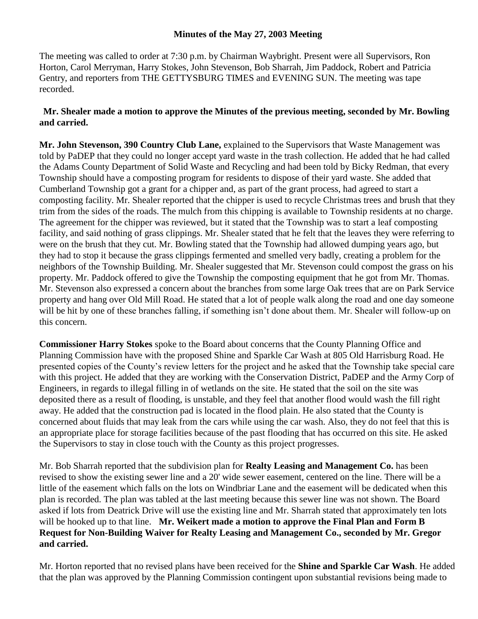## **Minutes of the May 27, 2003 Meeting**

The meeting was called to order at 7:30 p.m. by Chairman Waybright. Present were all Supervisors, Ron Horton, Carol Merryman, Harry Stokes, John Stevenson, Bob Sharrah, Jim Paddock, Robert and Patricia Gentry, and reporters from THE GETTYSBURG TIMES and EVENING SUN. The meeting was tape recorded.

## **Mr. Shealer made a motion to approve the Minutes of the previous meeting, seconded by Mr. Bowling and carried.**

**Mr. John Stevenson, 390 Country Club Lane,** explained to the Supervisors that Waste Management was told by PaDEP that they could no longer accept yard waste in the trash collection. He added that he had called the Adams County Department of Solid Waste and Recycling and had been told by Bicky Redman, that every Township should have a composting program for residents to dispose of their yard waste. She added that Cumberland Township got a grant for a chipper and, as part of the grant process, had agreed to start a composting facility. Mr. Shealer reported that the chipper is used to recycle Christmas trees and brush that they trim from the sides of the roads. The mulch from this chipping is available to Township residents at no charge. The agreement for the chipper was reviewed, but it stated that the Township was to start a leaf composting facility, and said nothing of grass clippings. Mr. Shealer stated that he felt that the leaves they were referring to were on the brush that they cut. Mr. Bowling stated that the Township had allowed dumping years ago, but they had to stop it because the grass clippings fermented and smelled very badly, creating a problem for the neighbors of the Township Building. Mr. Shealer suggested that Mr. Stevenson could compost the grass on his property. Mr. Paddock offered to give the Township the composting equipment that he got from Mr. Thomas. Mr. Stevenson also expressed a concern about the branches from some large Oak trees that are on Park Service property and hang over Old Mill Road. He stated that a lot of people walk along the road and one day someone will be hit by one of these branches falling, if something isn't done about them. Mr. Shealer will follow-up on this concern.

**Commissioner Harry Stokes** spoke to the Board about concerns that the County Planning Office and Planning Commission have with the proposed Shine and Sparkle Car Wash at 805 Old Harrisburg Road. He presented copies of the County's review letters for the project and he asked that the Township take special care with this project. He added that they are working with the Conservation District, PaDEP and the Army Corp of Engineers, in regards to illegal filling in of wetlands on the site. He stated that the soil on the site was deposited there as a result of flooding, is unstable, and they feel that another flood would wash the fill right away. He added that the construction pad is located in the flood plain. He also stated that the County is concerned about fluids that may leak from the cars while using the car wash. Also, they do not feel that this is an appropriate place for storage facilities because of the past flooding that has occurred on this site. He asked the Supervisors to stay in close touch with the County as this project progresses.

Mr. Bob Sharrah reported that the subdivision plan for **Realty Leasing and Management Co.** has been revised to show the existing sewer line and a 20' wide sewer easement, centered on the line. There will be a little of the easement which falls on the lots on Windbriar Lane and the easement will be dedicated when this plan is recorded. The plan was tabled at the last meeting because this sewer line was not shown. The Board asked if lots from Deatrick Drive will use the existing line and Mr. Sharrah stated that approximately ten lots will be hooked up to that line. **Mr. Weikert made a motion to approve the Final Plan and Form B Request for Non-Building Waiver for Realty Leasing and Management Co., seconded by Mr. Gregor and carried.** 

Mr. Horton reported that no revised plans have been received for the **Shine and Sparkle Car Wash**. He added that the plan was approved by the Planning Commission contingent upon substantial revisions being made to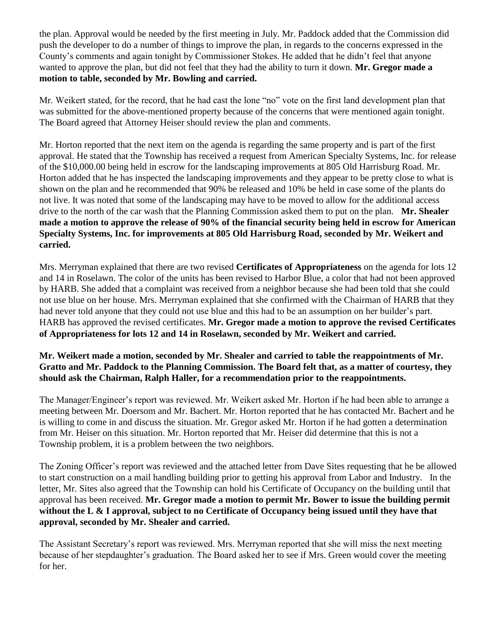the plan. Approval would be needed by the first meeting in July. Mr. Paddock added that the Commission did push the developer to do a number of things to improve the plan, in regards to the concerns expressed in the County's comments and again tonight by Commissioner Stokes. He added that he didn't feel that anyone wanted to approve the plan, but did not feel that they had the ability to turn it down. **Mr. Gregor made a motion to table, seconded by Mr. Bowling and carried.** 

Mr. Weikert stated, for the record, that he had cast the lone "no" vote on the first land development plan that was submitted for the above-mentioned property because of the concerns that were mentioned again tonight. The Board agreed that Attorney Heiser should review the plan and comments.

Mr. Horton reported that the next item on the agenda is regarding the same property and is part of the first approval. He stated that the Township has received a request from American Specialty Systems, Inc. for release of the \$10,000.00 being held in escrow for the landscaping improvements at 805 Old Harrisburg Road. Mr. Horton added that he has inspected the landscaping improvements and they appear to be pretty close to what is shown on the plan and he recommended that 90% be released and 10% be held in case some of the plants do not live. It was noted that some of the landscaping may have to be moved to allow for the additional access drive to the north of the car wash that the Planning Commission asked them to put on the plan. **Mr. Shealer made a motion to approve the release of 90% of the financial security being held in escrow for American Specialty Systems, Inc. for improvements at 805 Old Harrisburg Road, seconded by Mr. Weikert and carried.**

Mrs. Merryman explained that there are two revised **Certificates of Appropriateness** on the agenda for lots 12 and 14 in Roselawn. The color of the units has been revised to Harbor Blue, a color that had not been approved by HARB. She added that a complaint was received from a neighbor because she had been told that she could not use blue on her house. Mrs. Merryman explained that she confirmed with the Chairman of HARB that they had never told anyone that they could not use blue and this had to be an assumption on her builder's part. HARB has approved the revised certificates. **Mr. Gregor made a motion to approve the revised Certificates of Appropriateness for lots 12 and 14 in Roselawn, seconded by Mr. Weikert and carried.** 

## **Mr. Weikert made a motion, seconded by Mr. Shealer and carried to table the reappointments of Mr. Gratto and Mr. Paddock to the Planning Commission. The Board felt that, as a matter of courtesy, they should ask the Chairman, Ralph Haller, for a recommendation prior to the reappointments.**

The Manager/Engineer's report was reviewed. Mr. Weikert asked Mr. Horton if he had been able to arrange a meeting between Mr. Doersom and Mr. Bachert. Mr. Horton reported that he has contacted Mr. Bachert and he is willing to come in and discuss the situation. Mr. Gregor asked Mr. Horton if he had gotten a determination from Mr. Heiser on this situation. Mr. Horton reported that Mr. Heiser did determine that this is not a Township problem, it is a problem between the two neighbors.

The Zoning Officer's report was reviewed and the attached letter from Dave Sites requesting that he be allowed to start construction on a mail handling building prior to getting his approval from Labor and Industry. In the letter, Mr. Sites also agreed that the Township can hold his Certificate of Occupancy on the building until that approval has been received. **Mr. Gregor made a motion to permit Mr. Bower to issue the building permit without the L & I approval, subject to no Certificate of Occupancy being issued until they have that approval, seconded by Mr. Shealer and carried.** 

The Assistant Secretary's report was reviewed. Mrs. Merryman reported that she will miss the next meeting because of her stepdaughter's graduation. The Board asked her to see if Mrs. Green would cover the meeting for her.